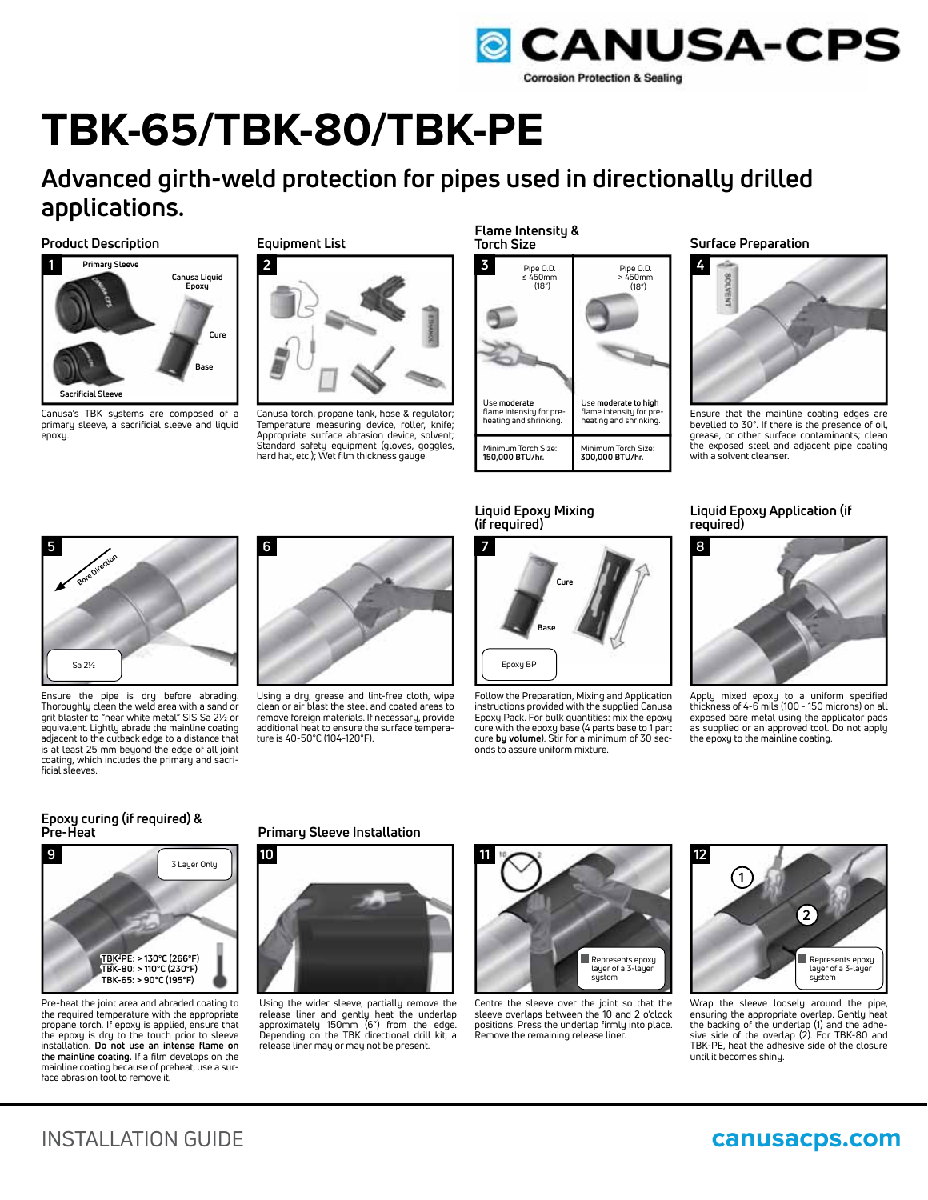

# **TBK-65/TBK-80/TBK-PE**

## **Advanced girth-weld protection for pipes used in directionally drilled applications.**

### **Product Description Surface Preparation Surface Preparation Surface Preparation**



Canusa's TBK sustems are composed of a primary sleeve, a sacrificial sleeve and liquid epoxy.

### **Equipment List**



Canusa torch, propane tank, hose & regulator; Temperature measuring device, roller, knife; Appropriate surface abrasion device, solvent; Standard safety equipment (gloves, goggles, hard hat, etc.); Wet film thickness gauge

**Flame Intensity & Torch Size**

| Pipe O.D.                | Pipe O.D.                |
|--------------------------|--------------------------|
| $\leq 450$ mm            | $>450$ mm                |
| (18")                    | (18")                    |
| Use moderate             | Use moderate to high     |
| flame intensity for pre- | flame intensity for pre- |
| heating and shrinking.   | heating and shrinking.   |
| Minimum Torch Size:      | Minimum Torch Size:      |
| 150,000 BTU/hr.          | 300,000 BTU/hr.          |



Ensure that the mainline coating edges are bevelled to 30°. If there is the presence of oil, grease, or other surface contaminants; clean the exposed steel and adjacent pipe coating with a solvent cleanser.



Ensure the pipe is dry before abrading. Thoroughly clean the weld area with a sand or grit blaster to "near white metal" SIS Sa 2½ or equivalent. Lightly abrade the mainline coating adjacent to the cutback edge to a distance that<br>is at least 25 mm beyond the edge of all joint coating, which includes the primary and sacrificial sleeves.



Using a dry, grease and lint-free cloth, wipe clean or air blast the steel and coated areas to remove foreign materials. If necessary, provide additional heat to ensure the surface temperature is 40-50°C (104-120°F).





Follow the Preparation, Mixing and Application instructions provided with the supplied Canusa Epoxy Pack. For bulk quantities: mix the epoxy cure with the epoxy base (4 parts base to 1 part cure **by volume**). Stir for a minimum of 30 seconds to assure uniform mixture.

### **Liquid Epoxy Application (if required)**



Apply mixed epoxy to a uniform specified thickness of 4-6 mils (100 - 150 microns) on all exposed bare metal using the applicator pads as supplied or an approved tool. Do not apply the epoxy to the mainline coating.

# **Epoxy curing (if required) &**



Pre-heat the joint area and abraded coating to the required temperature with the appropriate propane torch. If epoxy is applied, ensure that the epoxy is dry to the touch prior to sleeve installation. **Do not use an intense flame on the mainline coating.** If a film develops on the mainline coating because of preheat, use a surface abrasion tool to remove it.

### **Primary Sleeve Installation**



Using the wider sleeve, partially remove the release liner and gently heat the underlap approximately 150mm (6") from the edge. Depending on the TBK directional drill kit, a release liner may or may not be present.



Centre the sleeve over the joint so that the sleeve overlaps between the 10 and 2 o'clock positions. Press the underlap firmly into place. Remove the remaining release liner.



Wrap the sleeve loosely around the pipe, ensuring the appropriate overlap. Gently heat the backing of the underlap (1) and the adhe-sive side of the overlap (2). For TBK-80 and TBK-PE, heat the adhesive side of the closure until it becomes shiny.